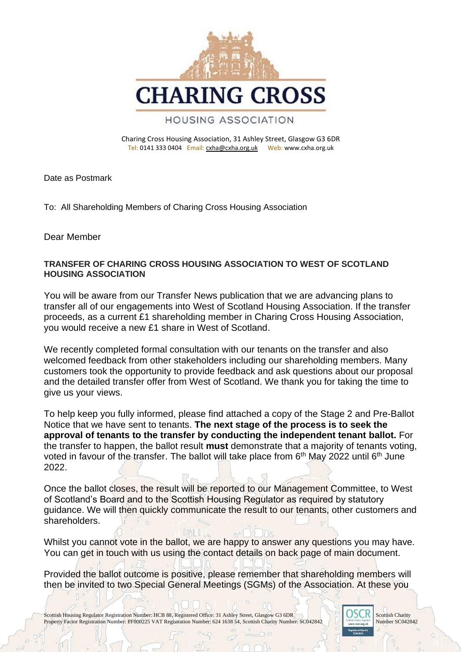

Charing Cross Housing Association, 31 Ashley Street, Glasgow G3 6DR Tel: 0141 333 0404 Email: [cxha@cxha.org.uk](mailto:cxha@cxha.org.uk) Web: www.cxha.org.uk

Date as Postmark

To: All Shareholding Members of Charing Cross Housing Association

Dear Member

## **TRANSFER OF CHARING CROSS HOUSING ASSOCIATION TO WEST OF SCOTLAND HOUSING ASSOCIATION**

You will be aware from our Transfer News publication that we are advancing plans to transfer all of our engagements into West of Scotland Housing Association. If the transfer proceeds, as a current £1 shareholding member in Charing Cross Housing Association, you would receive a new £1 share in West of Scotland.

We recently completed formal consultation with our tenants on the transfer and also welcomed feedback from other stakeholders including our shareholding members. Many customers took the opportunity to provide feedback and ask questions about our proposal and the detailed transfer offer from West of Scotland. We thank you for taking the time to give us your views.

To help keep you fully informed, please find attached a copy of the Stage 2 and Pre-Ballot Notice that we have sent to tenants. **The next stage of the process is to seek the approval of tenants to the transfer by conducting the independent tenant ballot.** For the transfer to happen, the ballot result **must** demonstrate that a majority of tenants voting, voted in favour of the transfer. The ballot will take place from 6<sup>th</sup> May 2022 until 6<sup>th</sup> June 2022.

Once the ballot closes, the result will be reported to our Management Committee, to West of Scotland's Board and to the Scottish Housing Regulator as required by statutory guidance. We will then quickly communicate the result to our tenants, other customers and shareholders.

Whilst you cannot vote in the ballot, we are happy to answer any questions you may have. You can get in touch with us using the contact details on back page of main document.

Provided the ballot outcome is positive, please remember that shareholding members will then be invited to two Special General Meetings (SGMs) of the Association. At these you

Scottish Housing Regulator Registration Number: HCB 88, Registered Office: 31 Ashley Street, Glasgow G3 6DR Scottish Charity Number: SCO42842 Scottish Charity Number: SCO42842 Property Factor Registration Number: PF000225 VAT Registration Number: 624 1638 54, Scottish Charity Number: SC042842